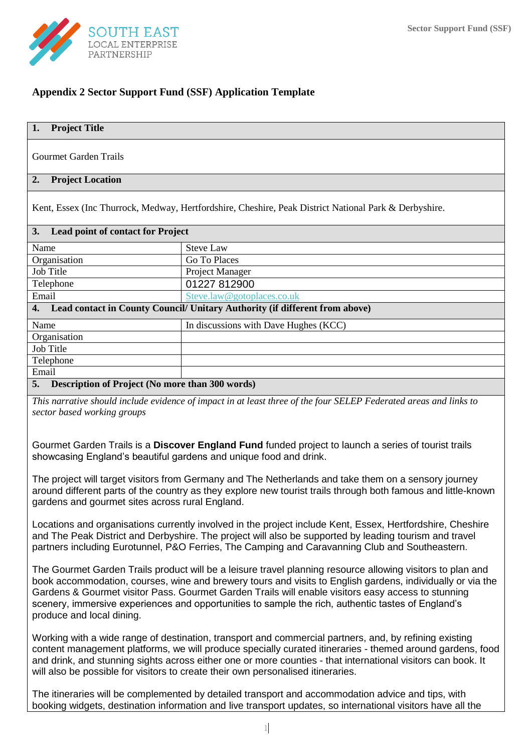

# **Appendix 2 Sector Support Fund (SSF) Application Template**

# **1. Project Title**

Gourmet Garden Trails

## **2. Project Location**

Kent, Essex (Inc Thurrock, Medway, Hertfordshire, Cheshire, Peak District National Park & Derbyshire.

| 3.<br><b>Lead point of contact for Project</b> |                                                                             |
|------------------------------------------------|-----------------------------------------------------------------------------|
| Name                                           | <b>Steve Law</b>                                                            |
| Organisation                                   | Go To Places                                                                |
| Job Title                                      | Project Manager                                                             |
| Telephone                                      | 01227 812900                                                                |
| Email                                          | Steve.law@gotoplaces.co.uk                                                  |
| 4.                                             | Lead contact in County Council/ Unitary Authority (if different from above) |
| Name                                           | In discussions with Dave Hughes (KCC)                                       |
| Organisation                                   |                                                                             |
| Job Title                                      |                                                                             |
| Telephone                                      |                                                                             |
| Email                                          |                                                                             |
|                                                |                                                                             |

## **5. Description of Project (No more than 300 words)**

*This narrative should include evidence of impact in at least three of the four SELEP Federated areas and links to sector based working groups*

Gourmet Garden Trails is a **Discover England Fund** funded project to launch a series of tourist trails showcasing England's beautiful gardens and unique food and drink.

The project will target visitors from Germany and The Netherlands and take them on a sensory journey around different parts of the country as they explore new tourist trails through both famous and little-known gardens and gourmet sites across rural England.

Locations and organisations currently involved in the project include Kent, Essex, Hertfordshire, Cheshire and The Peak District and Derbyshire. The project will also be supported by leading tourism and travel partners including Eurotunnel, P&O Ferries, The Camping and Caravanning Club and Southeastern.

The Gourmet Garden Trails product will be a leisure travel planning resource allowing visitors to plan and book accommodation, courses, wine and brewery tours and visits to English gardens, individually or via the Gardens & Gourmet visitor Pass. Gourmet Garden Trails will enable visitors easy access to stunning scenery, immersive experiences and opportunities to sample the rich, authentic tastes of England's produce and local dining.

Working with a wide range of destination, transport and commercial partners, and, by refining existing content management platforms, we will produce specially curated itineraries - themed around gardens, food and drink, and stunning sights across either one or more counties - that international visitors can book. It will also be possible for visitors to create their own personalised itineraries.

The itineraries will be complemented by detailed transport and accommodation advice and tips, with booking widgets, destination information and live transport updates, so international visitors have all the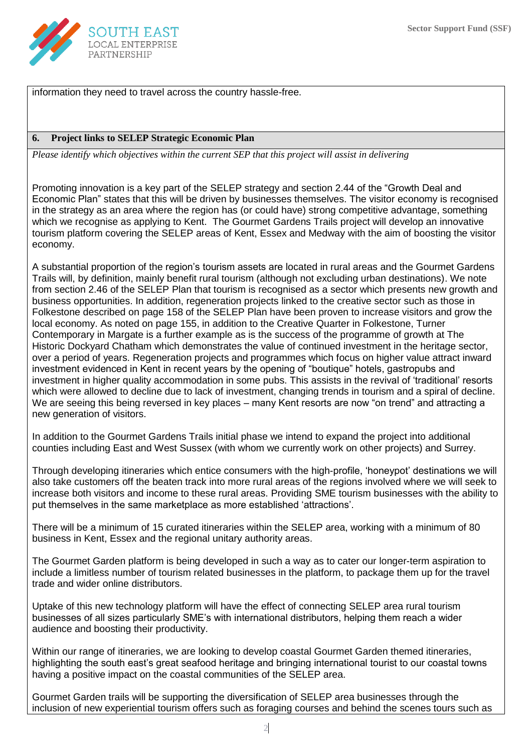

information they need to travel across the country hassle-free.

## **6. Project links to SELEP Strategic Economic Plan**

*Please identify which objectives within the current SEP that this project will assist in delivering*

Promoting innovation is a key part of the SELEP strategy and section 2.44 of the "Growth Deal and Economic Plan" states that this will be driven by businesses themselves. The visitor economy is recognised in the strategy as an area where the region has (or could have) strong competitive advantage, something which we recognise as applying to Kent. The Gourmet Gardens Trails project will develop an innovative tourism platform covering the SELEP areas of Kent, Essex and Medway with the aim of boosting the visitor economy.

A substantial proportion of the region's tourism assets are located in rural areas and the Gourmet Gardens Trails will, by definition, mainly benefit rural tourism (although not excluding urban destinations). We note from section 2.46 of the SELEP Plan that tourism is recognised as a sector which presents new growth and business opportunities. In addition, regeneration projects linked to the creative sector such as those in Folkestone described on page 158 of the SELEP Plan have been proven to increase visitors and grow the local economy. As noted on page 155, in addition to the Creative Quarter in Folkestone, Turner Contemporary in Margate is a further example as is the success of the programme of growth at The Historic Dockyard Chatham which demonstrates the value of continued investment in the heritage sector, over a period of years. Regeneration projects and programmes which focus on higher value attract inward investment evidenced in Kent in recent years by the opening of "boutique" hotels, gastropubs and investment in higher quality accommodation in some pubs. This assists in the revival of 'traditional' resorts which were allowed to decline due to lack of investment, changing trends in tourism and a spiral of decline. We are seeing this being reversed in key places – many Kent resorts are now "on trend" and attracting a new generation of visitors.

In addition to the Gourmet Gardens Trails initial phase we intend to expand the project into additional counties including East and West Sussex (with whom we currently work on other projects) and Surrey.

Through developing itineraries which entice consumers with the high-profile, 'honeypot' destinations we will also take customers off the beaten track into more rural areas of the regions involved where we will seek to increase both visitors and income to these rural areas. Providing SME tourism businesses with the ability to put themselves in the same marketplace as more established 'attractions'.

There will be a minimum of 15 curated itineraries within the SELEP area, working with a minimum of 80 business in Kent, Essex and the regional unitary authority areas.

The Gourmet Garden platform is being developed in such a way as to cater our longer-term aspiration to include a limitless number of tourism related businesses in the platform, to package them up for the travel trade and wider online distributors.

Uptake of this new technology platform will have the effect of connecting SELEP area rural tourism businesses of all sizes particularly SME's with international distributors, helping them reach a wider audience and boosting their productivity.

Within our range of itineraries, we are looking to develop coastal Gourmet Garden themed itineraries, highlighting the south east's great seafood heritage and bringing international tourist to our coastal towns having a positive impact on the coastal communities of the SELEP area.

Gourmet Garden trails will be supporting the diversification of SELEP area businesses through the inclusion of new experiential tourism offers such as foraging courses and behind the scenes tours such as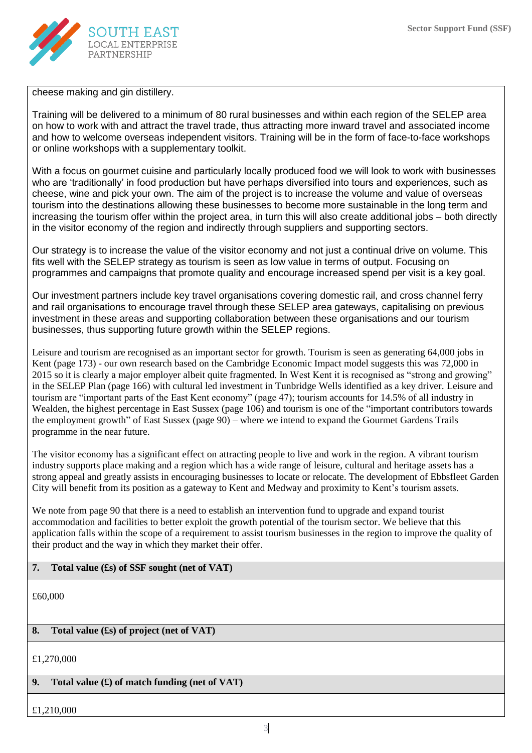

cheese making and gin distillery.

Training will be delivered to a minimum of 80 rural businesses and within each region of the SELEP area on how to work with and attract the travel trade, thus attracting more inward travel and associated income and how to welcome overseas independent visitors. Training will be in the form of face-to-face workshops or online workshops with a supplementary toolkit.

With a focus on gourmet cuisine and particularly locally produced food we will look to work with businesses who are 'traditionally' in food production but have perhaps diversified into tours and experiences, such as cheese, wine and pick your own. The aim of the project is to increase the volume and value of overseas tourism into the destinations allowing these businesses to become more sustainable in the long term and increasing the tourism offer within the project area, in turn this will also create additional jobs – both directly in the visitor economy of the region and indirectly through suppliers and supporting sectors.

Our strategy is to increase the value of the visitor economy and not just a continual drive on volume. This fits well with the SELEP strategy as tourism is seen as low value in terms of output. Focusing on programmes and campaigns that promote quality and encourage increased spend per visit is a key goal.

Our investment partners include key travel organisations covering domestic rail, and cross channel ferry and rail organisations to encourage travel through these SELEP area gateways, capitalising on previous investment in these areas and supporting collaboration between these organisations and our tourism businesses, thus supporting future growth within the SELEP regions.

Leisure and tourism are recognised as an important sector for growth. Tourism is seen as generating 64,000 jobs in Kent (page 173) - our own research based on the Cambridge Economic Impact model suggests this was 72,000 in 2015 so it is clearly a major employer albeit quite fragmented. In West Kent it is recognised as "strong and growing" in the SELEP Plan (page 166) with cultural led investment in Tunbridge Wells identified as a key driver. Leisure and tourism are "important parts of the East Kent economy" (page 47); tourism accounts for 14.5% of all industry in Wealden, the highest percentage in East Sussex (page 106) and tourism is one of the "important contributors towards the employment growth" of East Sussex (page 90) – where we intend to expand the Gourmet Gardens Trails programme in the near future.

The visitor economy has a significant effect on attracting people to live and work in the region. A vibrant tourism industry supports place making and a region which has a wide range of leisure, cultural and heritage assets has a strong appeal and greatly assists in encouraging businesses to locate or relocate. The development of Ebbsfleet Garden City will benefit from its position as a gateway to Kent and Medway and proximity to Kent's tourism assets.

We note from page 90 that there is a need to establish an intervention fund to upgrade and expand tourist accommodation and facilities to better exploit the growth potential of the tourism sector. We believe that this application falls within the scope of a requirement to assist tourism businesses in the region to improve the quality of their product and the way in which they market their offer.

## **7. Total value (£s) of SSF sought (net of VAT)**

£60,000

## **8. Total value (£s) of project (net of VAT)**

£1,270,000

### **9. Total value (£) of match funding (net of VAT)**

#### £1,210,000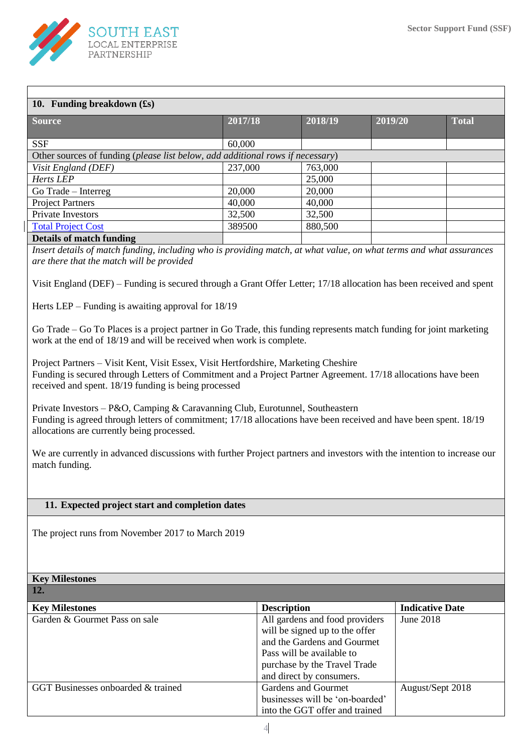

| 10. Funding breakdown $(f_s)$                                                  |         |         |         |              |
|--------------------------------------------------------------------------------|---------|---------|---------|--------------|
| <b>Source</b>                                                                  | 2017/18 | 2018/19 | 2019/20 | <b>Total</b> |
| <b>SSF</b>                                                                     | 60,000  |         |         |              |
| Other sources of funding (please list below, add additional rows if necessary) |         |         |         |              |
| Visit England (DEF)                                                            | 237,000 | 763,000 |         |              |
| Herts LEP                                                                      |         | 25,000  |         |              |
| Go Trade – Interreg                                                            | 20,000  | 20,000  |         |              |
| <b>Project Partners</b>                                                        | 40,000  | 40,000  |         |              |
| Private Investors                                                              | 32,500  | 32,500  |         |              |
| <b>Total Project Cost</b>                                                      | 389500  | 880,500 |         |              |
| <b>Details of match funding</b>                                                |         |         |         |              |

*are there that the match will be provided*

Visit England (DEF) – Funding is secured through a Grant Offer Letter; 17/18 allocation has been received and spent

Herts LEP – Funding is awaiting approval for 18/19

Go Trade – Go To Places is a project partner in Go Trade, this funding represents match funding for joint marketing work at the end of 18/19 and will be received when work is complete.

Project Partners – Visit Kent, Visit Essex, Visit Hertfordshire, Marketing Cheshire Funding is secured through Letters of Commitment and a Project Partner Agreement. 17/18 allocations have been received and spent. 18/19 funding is being processed

Private Investors – P&O, Camping & Caravanning Club, Eurotunnel, Southeastern Funding is agreed through letters of commitment; 17/18 allocations have been received and have been spent. 18/19 allocations are currently being processed.

We are currently in advanced discussions with further Project partners and investors with the intention to increase our match funding.

#### **11. Expected project start and completion dates**

The project runs from November 2017 to March 2019

#### **Key Milestones 12. Key Milestones Description Description Indicative Date** Garden & Gourmet Pass on sale All gardens and food providers will be signed up to the offer and the Gardens and Gourmet Pass will be available to purchase by the Travel Trade and direct by consumers. June 2018 GGT Businesses onboarded & trained Gardens and Gourmet businesses will be 'on-boarded' into the GGT offer and trained August/Sept 2018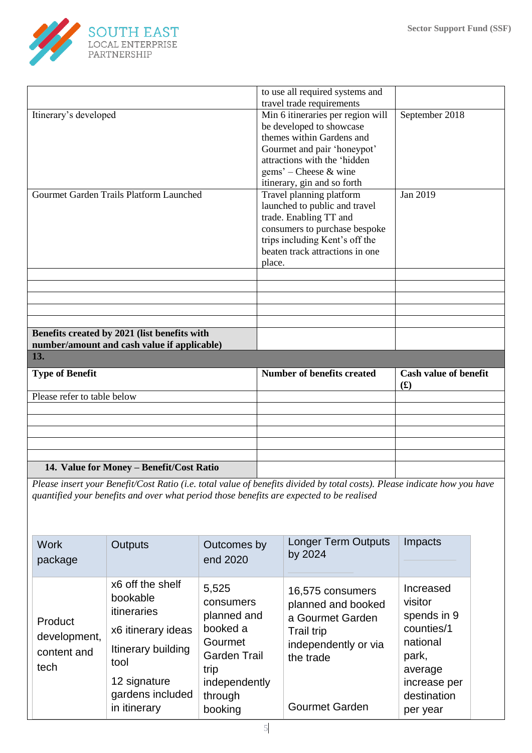

|                                                                                                                           | to use all required systems and   |                              |
|---------------------------------------------------------------------------------------------------------------------------|-----------------------------------|------------------------------|
|                                                                                                                           | travel trade requirements         |                              |
| Itinerary's developed                                                                                                     | Min 6 itineraries per region will | September 2018               |
|                                                                                                                           | be developed to showcase          |                              |
|                                                                                                                           | themes within Gardens and         |                              |
|                                                                                                                           | Gourmet and pair 'honeypot'       |                              |
|                                                                                                                           | attractions with the 'hidden      |                              |
|                                                                                                                           | $gems'$ – Cheese & wine           |                              |
|                                                                                                                           |                                   |                              |
|                                                                                                                           | itinerary, gin and so forth       |                              |
| Gourmet Garden Trails Platform Launched                                                                                   | Travel planning platform          | Jan 2019                     |
|                                                                                                                           | launched to public and travel     |                              |
|                                                                                                                           | trade. Enabling TT and            |                              |
|                                                                                                                           | consumers to purchase bespoke     |                              |
|                                                                                                                           | trips including Kent's off the    |                              |
|                                                                                                                           | beaten track attractions in one   |                              |
|                                                                                                                           | place.                            |                              |
|                                                                                                                           |                                   |                              |
|                                                                                                                           |                                   |                              |
|                                                                                                                           |                                   |                              |
|                                                                                                                           |                                   |                              |
|                                                                                                                           |                                   |                              |
| Benefits created by 2021 (list benefits with                                                                              |                                   |                              |
| number/amount and cash value if applicable)                                                                               |                                   |                              |
| 13.                                                                                                                       |                                   |                              |
| <b>Type of Benefit</b>                                                                                                    | <b>Number of benefits created</b> | <b>Cash value of benefit</b> |
|                                                                                                                           |                                   | f(x)                         |
| Please refer to table below                                                                                               |                                   |                              |
|                                                                                                                           |                                   |                              |
|                                                                                                                           |                                   |                              |
|                                                                                                                           |                                   |                              |
|                                                                                                                           |                                   |                              |
|                                                                                                                           |                                   |                              |
| 14. Value for Money - Benefit/Cost Ratio                                                                                  |                                   |                              |
| Please insert your Benefit/Cost Ratio (i.e. total value of benefits divided by total costs). Please indicate how you have |                                   |                              |

*quantified your benefits and over what period those benefits are expected to be realised*

| <b>Work</b><br>package                         | <b>Outputs</b>                                                                                                                                      | Outcomes by<br>end 2020                                                                                                        | <b>Longer Term Outputs</b><br>by 2024                                                                                                         | Impacts                                                                                                                      |
|------------------------------------------------|-----------------------------------------------------------------------------------------------------------------------------------------------------|--------------------------------------------------------------------------------------------------------------------------------|-----------------------------------------------------------------------------------------------------------------------------------------------|------------------------------------------------------------------------------------------------------------------------------|
| Product<br>development,<br>content and<br>tech | x6 off the shelf<br>bookable<br>itineraries<br>x6 itinerary ideas<br>Itinerary building<br>tool<br>12 signature<br>gardens included<br>in itinerary | 5,525<br>consumers<br>planned and<br>booked a<br>Gourmet<br><b>Garden Trail</b><br>trip<br>independently<br>through<br>booking | 16,575 consumers<br>planned and booked<br>a Gourmet Garden<br><b>Trail trip</b><br>independently or via<br>the trade<br><b>Gourmet Garden</b> | Increased<br>visitor<br>spends in 9<br>counties/1<br>national<br>park,<br>average<br>increase per<br>destination<br>per year |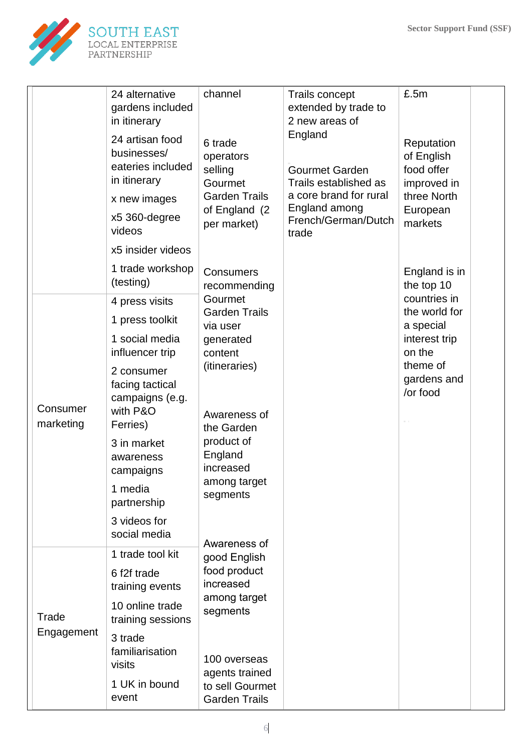

|                       | 24 alternative<br>gardens included<br>in itinerary                  | channel                                    | <b>Trails concept</b><br>extended by trade to<br>2 new areas of | £.5m                                                  |  |
|-----------------------|---------------------------------------------------------------------|--------------------------------------------|-----------------------------------------------------------------|-------------------------------------------------------|--|
|                       | 24 artisan food<br>businesses/<br>eateries included<br>in itinerary | 6 trade<br>operators<br>selling<br>Gourmet | England<br><b>Gourmet Garden</b><br>Trails established as       | Reputation<br>of English<br>food offer<br>improved in |  |
|                       | x new images                                                        | <b>Garden Trails</b>                       | a core brand for rural                                          | three North                                           |  |
|                       | x5 360-degree<br>videos                                             | of England (2)<br>per market)              | England among<br>French/German/Dutch<br>trade                   | European<br>markets                                   |  |
|                       | x5 insider videos                                                   |                                            |                                                                 |                                                       |  |
|                       | 1 trade workshop<br>(testing)                                       | <b>Consumers</b><br>recommending           |                                                                 | England is in<br>the top 10                           |  |
|                       | 4 press visits                                                      | Gourmet<br><b>Garden Trails</b>            |                                                                 | countries in<br>the world for                         |  |
|                       | 1 press toolkit                                                     | via user                                   |                                                                 | a special                                             |  |
|                       | 1 social media                                                      | generated                                  |                                                                 | interest trip                                         |  |
|                       | influencer trip                                                     | content<br>(itineraries)                   |                                                                 | on the<br>theme of                                    |  |
|                       | 2 consumer<br>facing tactical                                       | Awareness of                               |                                                                 | gardens and                                           |  |
|                       | campaigns (e.g.                                                     |                                            |                                                                 | /or food                                              |  |
| Consumer<br>marketing | with P&O<br>Ferries)                                                |                                            |                                                                 |                                                       |  |
|                       | 3 in market                                                         | the Garden<br>product of                   |                                                                 |                                                       |  |
|                       | awareness                                                           | England                                    |                                                                 |                                                       |  |
|                       | campaigns                                                           | increased<br>among target                  |                                                                 |                                                       |  |
|                       | 1 media<br>partnership                                              | segments                                   |                                                                 |                                                       |  |
|                       | 3 videos for<br>social media                                        | Awareness of                               |                                                                 |                                                       |  |
|                       | 1 trade tool kit                                                    | good English                               |                                                                 |                                                       |  |
|                       | 6 f2f trade<br>training events                                      | food product<br>increased                  |                                                                 |                                                       |  |
| Trade                 | 10 online trade<br>training sessions                                | among target<br>segments                   |                                                                 |                                                       |  |
| Engagement            | 3 trade<br>familiarisation<br>visits                                | 100 overseas<br>agents trained             |                                                                 |                                                       |  |
|                       | 1 UK in bound<br>event                                              | to sell Gourmet<br><b>Garden Trails</b>    |                                                                 |                                                       |  |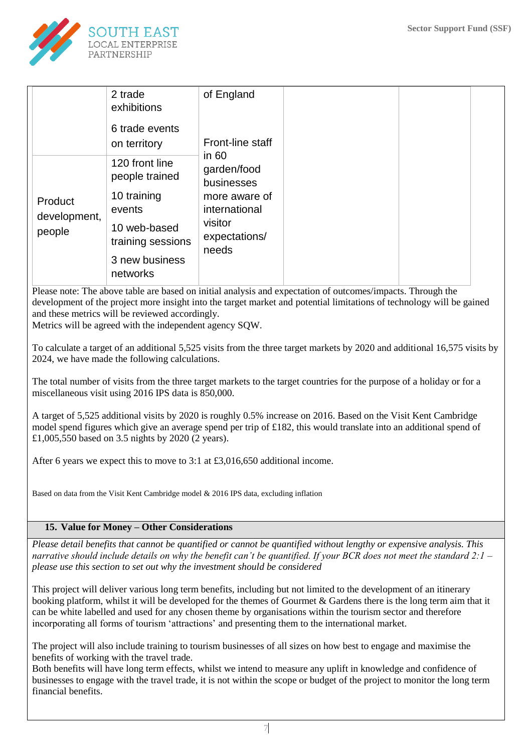

|                                   | 2 trade<br>exhibitions            | of England                                                                                                  |  |  |
|-----------------------------------|-----------------------------------|-------------------------------------------------------------------------------------------------------------|--|--|
|                                   | 6 trade events<br>on territory    | Front-line staff                                                                                            |  |  |
| Product<br>development,<br>people | 120 front line<br>people trained  | in $60$<br>garden/food<br>businesses<br>more aware of<br>international<br>visitor<br>expectations/<br>needs |  |  |
|                                   | 10 training<br>events             |                                                                                                             |  |  |
|                                   | 10 web-based<br>training sessions |                                                                                                             |  |  |
|                                   | 3 new business<br>networks        |                                                                                                             |  |  |

Please note: The above table are based on initial analysis and expectation of outcomes/impacts. Through the development of the project more insight into the target market and potential limitations of technology will be gained and these metrics will be reviewed accordingly.

Metrics will be agreed with the independent agency SQW.

To calculate a target of an additional 5,525 visits from the three target markets by 2020 and additional 16,575 visits by 2024, we have made the following calculations.

The total number of visits from the three target markets to the target countries for the purpose of a holiday or for a miscellaneous visit using 2016 IPS data is 850,000.

A target of 5,525 additional visits by 2020 is roughly 0.5% increase on 2016. Based on the Visit Kent Cambridge model spend figures which give an average spend per trip of £182, this would translate into an additional spend of £1,005,550 based on 3.5 nights by 2020 (2 years).

After 6 years we expect this to move to 3:1 at £3,016,650 additional income.

Based on data from the Visit Kent Cambridge model & 2016 IPS data, excluding inflation

#### **15. Value for Money – Other Considerations**

*Please detail benefits that cannot be quantified or cannot be quantified without lengthy or expensive analysis. This narrative should include details on why the benefit can't be quantified. If your BCR does not meet the standard 2:1 – please use this section to set out why the investment should be considered*

This project will deliver various long term benefits, including but not limited to the development of an itinerary booking platform, whilst it will be developed for the themes of Gourmet & Gardens there is the long term aim that it can be white labelled and used for any chosen theme by organisations within the tourism sector and therefore incorporating all forms of tourism 'attractions' and presenting them to the international market.

The project will also include training to tourism businesses of all sizes on how best to engage and maximise the benefits of working with the travel trade.

Both benefits will have long term effects, whilst we intend to measure any uplift in knowledge and confidence of businesses to engage with the travel trade, it is not within the scope or budget of the project to monitor the long term financial benefits.

7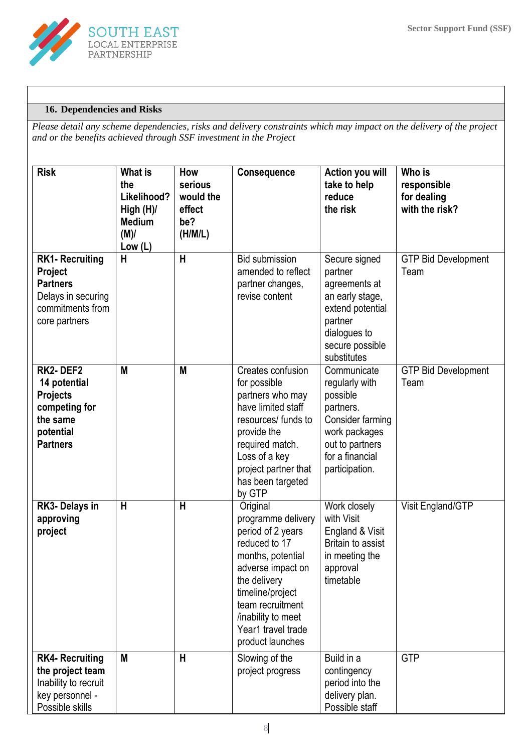

## **16. Dependencies and Risks**

*Please detail any scheme dependencies, risks and delivery constraints which may impact on the delivery of the project and or the benefits achieved through SSF investment in the Project*

| <b>Risk</b>                                                                                                     | <b>What is</b><br>the<br>Likelihood?<br>High (H)/<br><b>Medium</b><br>(M)/<br>Low (L) | How<br>serious<br>would the<br>effect<br>be?<br>(H/M/L) | Consequence                                                                                                                                                                                                                            | Action you will<br>take to help<br>reduce<br>the risk                                                                                               | Who is<br>responsible<br>for dealing<br>with the risk? |
|-----------------------------------------------------------------------------------------------------------------|---------------------------------------------------------------------------------------|---------------------------------------------------------|----------------------------------------------------------------------------------------------------------------------------------------------------------------------------------------------------------------------------------------|-----------------------------------------------------------------------------------------------------------------------------------------------------|--------------------------------------------------------|
| <b>RK1- Recruiting</b><br>Project<br><b>Partners</b><br>Delays in securing<br>commitments from<br>core partners | H                                                                                     | H                                                       | <b>Bid submission</b><br>amended to reflect<br>partner changes,<br>revise content                                                                                                                                                      | Secure signed<br>partner<br>agreements at<br>an early stage,<br>extend potential<br>partner<br>dialogues to<br>secure possible<br>substitutes       | <b>GTP Bid Development</b><br>Team                     |
| RK2-DEF2<br>14 potential<br><b>Projects</b><br>competing for<br>the same<br>potential<br><b>Partners</b>        | M                                                                                     | M                                                       | Creates confusion<br>for possible<br>partners who may<br>have limited staff<br>resources/ funds to<br>provide the<br>required match.<br>Loss of a key<br>project partner that<br>has been targeted<br>by GTP                           | Communicate<br>regularly with<br>possible<br>partners.<br>Consider farming<br>work packages<br>out to partners<br>for a financial<br>participation. | <b>GTP Bid Development</b><br>Team                     |
| RK3- Delays in<br>approving<br>project                                                                          | H                                                                                     | $\mathsf{H}$                                            | Original<br>programme delivery<br>period of 2 years<br>reduced to 17<br>months, potential<br>adverse impact on<br>the delivery<br>timeline/project<br>team recruitment<br>/inability to meet<br>Year1 travel trade<br>product launches | Work closely<br>with Visit<br>England & Visit<br><b>Britain to assist</b><br>in meeting the<br>approval<br>timetable                                | Visit England/GTP                                      |
| <b>RK4- Recruiting</b><br>the project team<br>Inability to recruit<br>key personnel -<br>Possible skills        | M                                                                                     | H                                                       | Slowing of the<br>project progress                                                                                                                                                                                                     | Build in a<br>contingency<br>period into the<br>delivery plan.<br>Possible staff                                                                    | <b>GTP</b>                                             |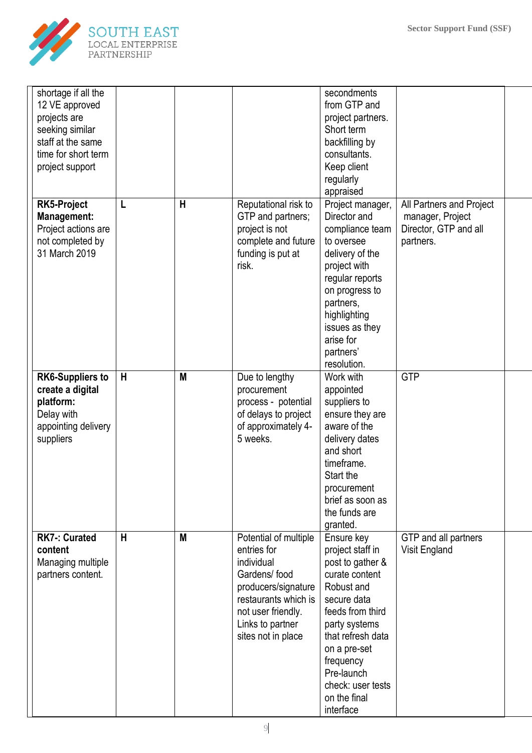

| shortage if all the<br>12 VE approved<br>projects are<br>seeking similar<br>staff at the same<br>time for short term<br>project support |   |   |                                                                                                                                                                                   | secondments<br>from GTP and<br>project partners.<br>Short term<br>backfilling by<br>consultants.<br>Keep client<br>regularly<br>appraised                                                                                                                |                                                                                    |  |
|-----------------------------------------------------------------------------------------------------------------------------------------|---|---|-----------------------------------------------------------------------------------------------------------------------------------------------------------------------------------|----------------------------------------------------------------------------------------------------------------------------------------------------------------------------------------------------------------------------------------------------------|------------------------------------------------------------------------------------|--|
| <b>RK5-Project</b><br>Management:<br>Project actions are<br>not completed by<br>31 March 2019                                           | L | H | Reputational risk to<br>GTP and partners;<br>project is not<br>complete and future<br>funding is put at<br>risk.                                                                  | Project manager,<br>Director and<br>compliance team<br>to oversee<br>delivery of the<br>project with<br>regular reports<br>on progress to<br>partners,<br>highlighting<br>issues as they<br>arise for<br>partners'<br>resolution.                        | All Partners and Project<br>manager, Project<br>Director, GTP and all<br>partners. |  |
| <b>RK6-Suppliers to</b><br>create a digital<br>platform:<br>Delay with<br>appointing delivery<br>suppliers                              | H | M | Due to lengthy<br>procurement<br>process - potential<br>of delays to project<br>of approximately 4-<br>5 weeks.                                                                   | Work with<br>appointed<br>suppliers to<br>ensure they are<br>aware of the<br>delivery dates<br>and short<br>timeframe.<br>Start the<br>procurement<br>brief as soon as<br>the funds are<br>granted.                                                      | <b>GTP</b>                                                                         |  |
| <b>RK7-: Curated</b><br>content<br>Managing multiple<br>partners content.                                                               | H | M | Potential of multiple<br>entries for<br>individual<br>Gardens/food<br>producers/signature<br>restaurants which is<br>not user friendly.<br>Links to partner<br>sites not in place | Ensure key<br>project staff in<br>post to gather &<br>curate content<br>Robust and<br>secure data<br>feeds from third<br>party systems<br>that refresh data<br>on a pre-set<br>frequency<br>Pre-launch<br>check: user tests<br>on the final<br>interface | GTP and all partners<br>Visit England                                              |  |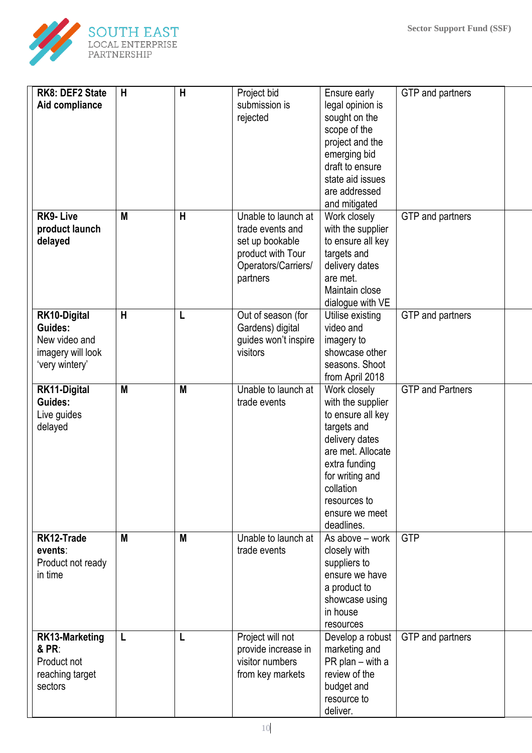

| RK8: DEF2 State<br>Aid compliance                                               | H | $\overline{H}$ | Project bid<br>submission is<br>rejected                                                                           | Ensure early<br>legal opinion is<br>sought on the<br>scope of the<br>project and the<br>emerging bid<br>draft to ensure<br>state aid issues<br>are addressed<br>and mitigated                                 | GTP and partners        |  |
|---------------------------------------------------------------------------------|---|----------------|--------------------------------------------------------------------------------------------------------------------|---------------------------------------------------------------------------------------------------------------------------------------------------------------------------------------------------------------|-------------------------|--|
| <b>RK9-Live</b><br>product launch<br>delayed                                    | M | $\mathsf{H}$   | Unable to launch at<br>trade events and<br>set up bookable<br>product with Tour<br>Operators/Carriers/<br>partners | Work closely<br>with the supplier<br>to ensure all key<br>targets and<br>delivery dates<br>are met.<br>Maintain close<br>dialogue with VE                                                                     | GTP and partners        |  |
| RK10-Digital<br>Guides:<br>New video and<br>imagery will look<br>'very wintery' | H | L              | Out of season (for<br>Gardens) digital<br>guides won't inspire<br>visitors                                         | Utilise existing<br>video and<br>imagery to<br>showcase other<br>seasons. Shoot<br>from April 2018                                                                                                            | GTP and partners        |  |
| RK11-Digital<br>Guides:<br>Live guides<br>delayed                               | M | M              | Unable to launch at<br>trade events                                                                                | Work closely<br>with the supplier<br>to ensure all key<br>targets and<br>delivery dates<br>are met. Allocate<br>extra funding<br>for writing and<br>collation<br>resources to<br>ensure we meet<br>deadlines. | <b>GTP and Partners</b> |  |
| RK12-Trade<br>events:<br>Product not ready<br>in time                           | M | M              | Unable to launch at<br>trade events                                                                                | As above - work<br>closely with<br>suppliers to<br>ensure we have<br>a product to<br>showcase using<br>in house<br>resources                                                                                  | <b>GTP</b>              |  |
| <b>RK13-Marketing</b><br>& PR:<br>Product not<br>reaching target<br>sectors     | L | L              | Project will not<br>provide increase in<br>visitor numbers<br>from key markets                                     | Develop a robust<br>marketing and<br>PR plan - with a<br>review of the<br>budget and<br>resource to<br>deliver.                                                                                               | GTP and partners        |  |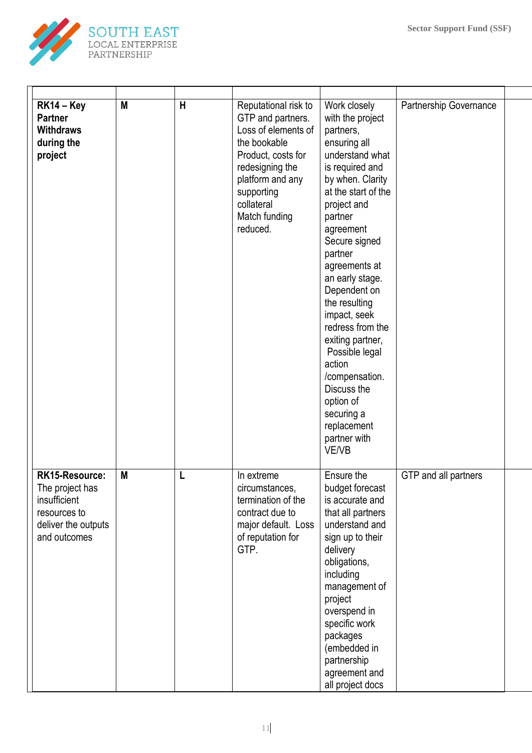

| $RK14 - Key$<br><b>Partner</b><br><b>Withdraws</b><br>during the<br>project                              | M | H | Reputational risk to<br>GTP and partners.<br>Loss of elements of<br>the bookable<br>Product, costs for<br>redesigning the<br>platform and any<br>supporting<br>collateral<br>Match funding<br>reduced. | Work closely<br>with the project<br>partners,<br>ensuring all<br>understand what<br>is required and<br>by when. Clarity<br>at the start of the<br>project and<br>partner<br>agreement<br>Secure signed<br>partner<br>agreements at<br>an early stage.<br>Dependent on<br>the resulting<br>impact, seek<br>redress from the<br>exiting partner,<br>Possible legal<br>action<br>/compensation.<br>Discuss the<br>option of<br>securing a<br>replacement<br>partner with<br>VE/VB | Partnership Governance |  |
|----------------------------------------------------------------------------------------------------------|---|---|--------------------------------------------------------------------------------------------------------------------------------------------------------------------------------------------------------|--------------------------------------------------------------------------------------------------------------------------------------------------------------------------------------------------------------------------------------------------------------------------------------------------------------------------------------------------------------------------------------------------------------------------------------------------------------------------------|------------------------|--|
| RK15-Resource:<br>The project has<br>insufficient<br>resources to<br>deliver the outputs<br>and outcomes | M | L | In extreme<br>circumstances,<br>termination of the<br>contract due to<br>major default. Loss<br>of reputation for<br>GTP.                                                                              | Ensure the<br>budget forecast<br>is accurate and<br>that all partners<br>understand and<br>sign up to their<br>delivery<br>obligations,<br>including<br>management of<br>project<br>overspend in<br>specific work<br>packages<br>(embedded in<br>partnership<br>agreement and<br>all project docs                                                                                                                                                                              | GTP and all partners   |  |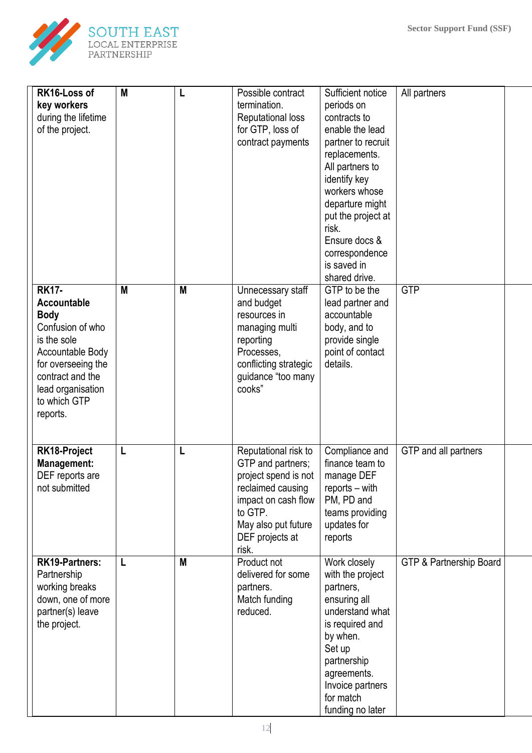

| RK16-Loss of<br>key workers<br>during the lifetime<br>of the project.                                                                                                                        | M | L | Possible contract<br>termination.<br><b>Reputational loss</b><br>for GTP, loss of<br>contract payments                                                                      | Sufficient notice<br>periods on<br>contracts to<br>enable the lead<br>partner to recruit<br>replacements.<br>All partners to<br>identify key                                                                 | All partners            |  |
|----------------------------------------------------------------------------------------------------------------------------------------------------------------------------------------------|---|---|-----------------------------------------------------------------------------------------------------------------------------------------------------------------------------|--------------------------------------------------------------------------------------------------------------------------------------------------------------------------------------------------------------|-------------------------|--|
|                                                                                                                                                                                              |   |   |                                                                                                                                                                             | workers whose<br>departure might<br>put the project at<br>risk.<br>Ensure docs &<br>correspondence<br>is saved in<br>shared drive.                                                                           |                         |  |
| <b>RK17-</b><br>Accountable<br><b>Body</b><br>Confusion of who<br>is the sole<br>Accountable Body<br>for overseeing the<br>contract and the<br>lead organisation<br>to which GTP<br>reports. | M | M | Unnecessary staff<br>and budget<br>resources in<br>managing multi<br>reporting<br>Processes,<br>conflicting strategic<br>guidance "too many<br>cooks"                       | GTP to be the<br>lead partner and<br>accountable<br>body, and to<br>provide single<br>point of contact<br>details.                                                                                           | <b>GTP</b>              |  |
| RK18-Project<br><b>Management:</b><br>DEF reports are<br>not submitted                                                                                                                       | L | L | Reputational risk to<br>GTP and partners;<br>project spend is not<br>reclaimed causing<br>impact on cash flow<br>to GTP.<br>May also put future<br>DEF projects at<br>risk. | Compliance and<br>finance team to<br>manage DEF<br>reports - with<br>PM, PD and<br>teams providing<br>updates for<br>reports                                                                                 | GTP and all partners    |  |
| <b>RK19-Partners:</b><br>Partnership<br>working breaks<br>down, one of more<br>partner(s) leave<br>the project.                                                                              | L | M | Product not<br>delivered for some<br>partners.<br>Match funding<br>reduced.                                                                                                 | Work closely<br>with the project<br>partners,<br>ensuring all<br>understand what<br>is required and<br>by when.<br>Set up<br>partnership<br>agreements.<br>Invoice partners<br>for match<br>funding no later | GTP & Partnership Board |  |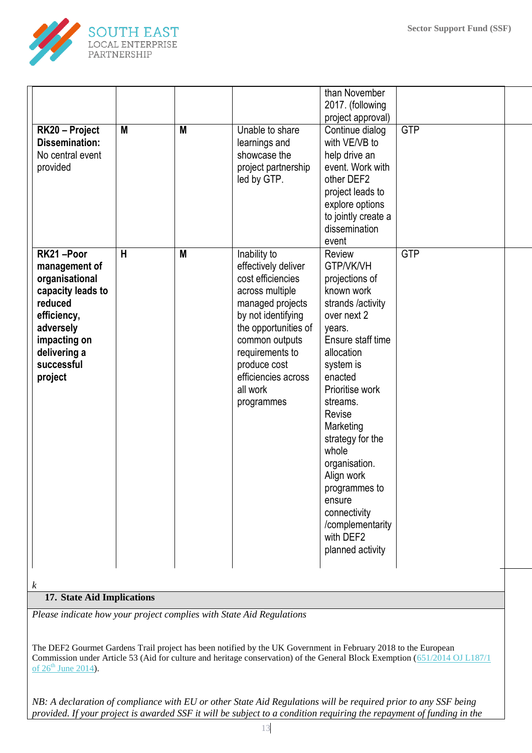

| RK20 - Project<br><b>Dissemination:</b><br>No central event<br>provided                                                                                           | M | M | Unable to share<br>learnings and<br>showcase the<br>project partnership<br>led by GTP.                                                                                                                                                              | than November<br>2017. (following<br>project approval)<br>Continue dialog<br>with VE/VB to<br>help drive an<br>event. Work with<br>other DEF2<br>project leads to<br>explore options<br>to jointly create a<br>dissemination<br>event                                                                                                                                          | <b>GTP</b> |  |
|-------------------------------------------------------------------------------------------------------------------------------------------------------------------|---|---|-----------------------------------------------------------------------------------------------------------------------------------------------------------------------------------------------------------------------------------------------------|--------------------------------------------------------------------------------------------------------------------------------------------------------------------------------------------------------------------------------------------------------------------------------------------------------------------------------------------------------------------------------|------------|--|
| RK21-Poor<br>management of<br>organisational<br>capacity leads to<br>reduced<br>efficiency,<br>adversely<br>impacting on<br>delivering a<br>successful<br>project | H | M | Inability to<br>effectively deliver<br>cost efficiencies<br>across multiple<br>managed projects<br>by not identifying<br>the opportunities of<br>common outputs<br>requirements to<br>produce cost<br>efficiencies across<br>all work<br>programmes | Review<br>GTP/VK/VH<br>projections of<br>known work<br>strands /activity<br>over next 2<br>years.<br>Ensure staff time<br>allocation<br>system is<br>enacted<br>Prioritise work<br>streams.<br>Revise<br>Marketing<br>strategy for the<br>whole<br>organisation.<br>Align work<br>programmes to<br>ensure<br>connectivity<br>/complementarity<br>with DEF2<br>planned activity | <b>GTP</b> |  |
| k<br>17 State Aid Implications                                                                                                                                    |   |   |                                                                                                                                                                                                                                                     |                                                                                                                                                                                                                                                                                                                                                                                |            |  |

## **17. State Aid Implications**

*Please indicate how your project complies with State Aid Regulations*

The DEF2 Gourmet Gardens Trail project has been notified by the UK Government in February 2018 to the European Commission under Article 53 (Aid for culture and heritage conservation) of the General Block Exemption [\(651/2014 OJ L187/1](http://eur-lex.europa.eu/legal-content/EN/TXT/?uri=uriserv:OJ.L_.2014.187.01.0001.01.ENG)  of  $26^{th}$  [June 2014\)](http://eur-lex.europa.eu/legal-content/EN/TXT/?uri=uriserv:OJ.L_.2014.187.01.0001.01.ENG).

*NB: A declaration of compliance with EU or other State Aid Regulations will be required prior to any SSF being provided. If your project is awarded SSF it will be subject to a condition requiring the repayment of funding in the*